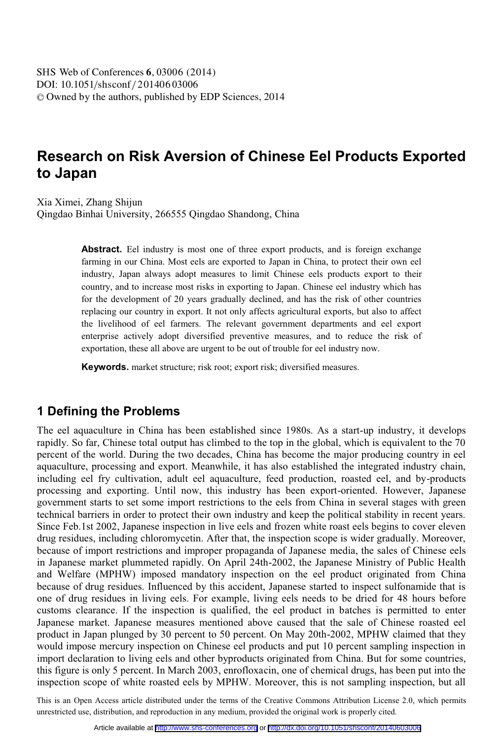# **Research on Risk Aversion of Chinese Eel Products Exported to Japan**

Xia Ximei, Zhang Shijun Qingdao Binhai University, 266555 Qingdao Shandong, China

> Abstract. Eel industry is most one of three export products, and is foreign exchange farming in our China. Most eels are exported to Japan in China, to protect their own eel industry, Japan always adopt measures to limit Chinese eels products export to their country, and to increase most risks in exporting to Japan. Chinese eel industry which has for the development of 20 years gradually declined, and has the risk of other countries replacing our country in export. It not only affects agricultural exports, but also to affect the livelihood of eel farmers. The relevant government departments and eel export enterprise actively adopt diversified preventive measures, and to reduce the risk of exportation, these all above are urgent to be out of trouble for eel industry now.

**Keywords.** market structure; risk root; export risk; diversified measures.

## **1 Defining the Problems**

The eel aquaculture in China has been established since 1980s. As a start-up industry, it develops rapidly. So far, Chinese total output has climbed to the top in the global, which is equivalent to the 70 percent of the world. During the two decades, China has become the major producing country in eel aquaculture, processing and export. Meanwhile, it has also established the integrated industry chain, including eel fry cultivation, adult eel aquaculture, feed production, roasted eel, and by-products processing and exporting. Until now, this industry has been export-oriented. However, Japanese government starts to set some import restrictions to the eels from China in several stages with green technical barriers in order to protect their own industry and keep the political stability in recent years. Since Feb.1st 2002, Japanese inspection in live eels and frozen white roast eels begins to cover eleven drug residues, including chloromycetin. After that, the inspection scope is wider gradually. Moreover, because of import restrictions and improper propaganda of Japanese media, the sales of Chinese eels in Japanese market plummeted rapidly. On April 24th-2002, the Japanese Ministry of Public Health and Welfare (MPHW) imposed mandatory inspection on the eel product originated from China because of drug residues. Influenced by this accident, Japanese started to inspect sulfonamide that is one of drug residues in living eels. For example, living eels needs to be dried for 48 hours before customs clearance. If the inspection is qualified, the eel product in batches is permitted to enter Japanese market. Japanese measures mentioned above caused that the sale of Chinese roasted eel product in Japan plunged by 30 percent to 50 percent. On May 20th-2002, MPHW claimed that they would impose mercury inspection on Chinese eel products and put 10 percent sampling inspection in import declaration to living eels and other byproducts originated from China. But for some countries, this figure is only 5 percent. In March 2003, enrofloxacin, one of chemical drugs, has been put into the inspection scope of white roasted eels by MPHW. Moreover, this is not sampling inspection, but all

This is an Open Access article distributed under the terms of the Creative Commons Attribution License 2.0, which permits unrestricted use, distribution, and reproduction in any medium, provided the original work is properly cited.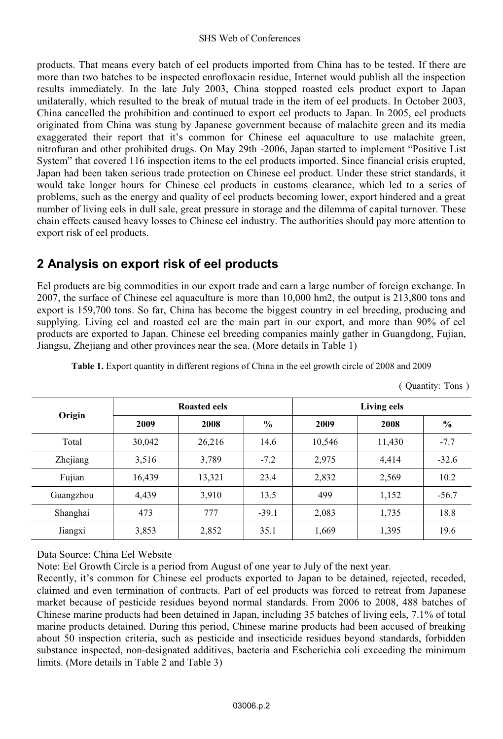products. That means every batch of eel products imported from China has to be tested. If there are more than two batches to be inspected enrofloxacin residue, Internet would publish all the inspection results immediately. In the late July 2003, China stopped roasted eels product export to Japan unilaterally, which resulted to the break of mutual trade in the item of eel products. In October 2003, China cancelled the prohibition and continued to export eel products to Japan. In 2005, eel products originated from China was stung by Japanese government because of malachite green and its media exaggerated their report that it's common for Chinese eel aquaculture to use malachite green, nitrofuran and other prohibited drugs. On May 29th -2006, Japan started to implement "Positive List System" that covered 116 inspection items to the eel products imported. Since financial crisis erupted, Japan had been taken serious trade protection on Chinese eel product. Under these strict standards, it would take longer hours for Chinese eel products in customs clearance, which led to a series of problems, such as the energy and quality of eel products becoming lower, export hindered and a great number of living eels in dull sale, great pressure in storage and the dilemma of capital turnover. These chain effects caused heavy losses to Chinese eel industry. The authorities should pay more attention to export risk of eel products.

# **2 Analysis on export risk of eel products**

Eel products are big commodities in our export trade and earn a large number of foreign exchange. In 2007, the surface of Chinese eel aquaculture is more than 10,000 hm2, the output is 213,800 tons and export is 159,700 tons. So far, China has become the biggest country in eel breeding, producing and supplying. Living eel and roasted eel are the main part in our export, and more than 90% of eel products are exported to Japan. Chinese eel breeding companies mainly gather in Guangdong, Fujian, Jiangsu, Zhejiang and other provinces near the sea. (More details in Table 1)

| Origin    | Roasted eels |        |               | Living eels |        |               |
|-----------|--------------|--------|---------------|-------------|--------|---------------|
|           | 2009         | 2008   | $\frac{0}{0}$ | 2009        | 2008   | $\frac{0}{0}$ |
| Total     | 30,042       | 26,216 | 14.6          | 10,546      | 11,430 | $-7.7$        |
| Zhejiang  | 3,516        | 3,789  | $-7.2$        | 2,975       | 4.414  | $-32.6$       |
| Fujian    | 16,439       | 13,321 | 23.4          | 2,832       | 2,569  | 10.2          |
| Guangzhou | 4,439        | 3,910  | 13.5          | 499         | 1,152  | $-56.7$       |
| Shanghai  | 473          | 777    | $-39.1$       | 2,083       | 1,735  | 18.8          |
| Jiangxi   | 3,853        | 2,852  | 35.1          | 1,669       | 1,395  | 19.6          |

**Table 1.** Export quantity in different regions of China in the eel growth circle of 2008 and 2009

| (Quantity: Tons) |
|------------------|
|------------------|

Data Source: China Eel Website

Note: Eel Growth Circle is a period from August of one year to July of the next year.

Recently, it's common for Chinese eel products exported to Japan to be detained, rejected, receded, claimed and even termination of contracts. Part of eel products was forced to retreat from Japanese market because of pesticide residues beyond normal standards. From 2006 to 2008, 488 batches of Chinese marine products had been detained in Japan, including 35 batches of living eels, 7.1% of total marine products detained. During this period, Chinese marine products had been accused of breaking about 50 inspection criteria, such as pesticide and insecticide residues beyond standards, forbidden substance inspected, non-designated additives, bacteria and Escherichia coli exceeding the minimum limits. (More details in Table 2 and Table 3)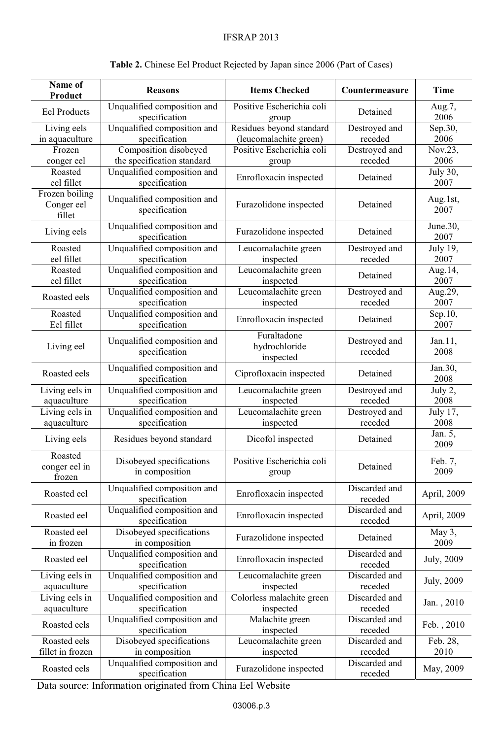### IFSRAP 2013

| Name of<br>Product                     | <b>Reasons</b>                                      | <b>Items Checked</b>                               | Countermeasure           | <b>Time</b>      |
|----------------------------------------|-----------------------------------------------------|----------------------------------------------------|--------------------------|------------------|
| <b>Eel Products</b>                    | Unqualified composition and<br>specification        | Positive Escherichia coli<br>group                 | Detained                 | Aug.7,<br>2006   |
| Living eels<br>in aquaculture          | Unqualified composition and<br>specification        | Residues beyond standard<br>(leucomalachite green) | Destroyed and<br>receded | Sep.30,<br>2006  |
| Frozen<br>conger eel                   | Composition disobeyed<br>the specification standard | Positive Escherichia coli<br>group                 | Destroyed and<br>receded | Nov.23,<br>2006  |
| Roasted<br>eel fillet                  | Unqualified composition and<br>specification        | Enrofloxacin inspected                             | Detained                 | July 30,<br>2007 |
| Frozen boiling<br>Conger eel<br>fillet | Unqualified composition and<br>specification        | Furazolidone inspected                             | Detained                 | Aug.1st,<br>2007 |
| Living eels                            | Unqualified composition and<br>specification        | Furazolidone inspected                             | Detained                 | June.30,<br>2007 |
| Roasted<br>eel fillet                  | Unqualified composition and<br>specification        | Leucomalachite green<br>inspected                  | Destroyed and<br>receded | July 19,<br>2007 |
| Roasted<br>eel fillet                  | Unqualified composition and<br>specification        | Leucomalachite green<br>inspected                  | Detained                 | Aug.14,<br>2007  |
| Roasted eels                           | Unqualified composition and<br>specification        | Leucomalachite green<br>inspected                  | Destroyed and<br>receded | Aug.29,<br>2007  |
| Roasted<br>Eel fillet                  | Unqualified composition and<br>specification        | Enrofloxacin inspected                             | Detained                 | Sep.10,<br>2007  |
| Living eel                             | Unqualified composition and<br>specification        | Furaltadone<br>hydrochloride<br>inspected          | Destroyed and<br>receded | Jan. 11,<br>2008 |
| Roasted eels                           | Unqualified composition and<br>specification        | Ciprofloxacin inspected                            | Detained                 | Jan.30,<br>2008  |
| Living eels in<br>aquaculture          | Unqualified composition and<br>specification        | Leucomalachite green<br>inspected                  | Destroyed and<br>receded | July 2,<br>2008  |
| Living eels in<br>aquaculture          | Unqualified composition and<br>specification        | Leucomalachite green<br>inspected                  | Destroyed and<br>receded | July 17,<br>2008 |
| Living eels                            | Residues beyond standard                            | Dicofol inspected                                  | Detained                 | Jan. 5,<br>2009  |
| Roasted<br>conger eel in<br>frozen     | Disobeyed specifications<br>in composition          | Positive Escherichia coli<br>group                 | Detained                 | Feb. 7,<br>2009  |
| Roasted eel                            | Unqualified composition and<br>specification        | Enrofloxacin inspected                             | Discarded and<br>receded | April, 2009      |
| Roasted eel                            | Unqualified composition and<br>specification        | Enrofloxacin inspected                             | Discarded and<br>receded | April, 2009      |
| Roasted eel<br>in frozen               | Disobeyed specifications<br>in composition          | Furazolidone inspected                             | Detained                 | May 3,<br>2009   |
| Roasted eel                            | Unqualified composition and<br>specification        | Enrofloxacin inspected                             | Discarded and<br>receded | July, 2009       |
| Living eels in<br>aquaculture          | Unqualified composition and<br>specification        | Leucomalachite green<br>inspected                  | Discarded and<br>receded | July, 2009       |
| Living eels in<br>aquaculture          | Unqualified composition and<br>specification        | Colorless malachite green<br>inspected             | Discarded and<br>receded | Jan., 2010       |
| Roasted eels                           | Unqualified composition and<br>specification        | Malachite green<br>inspected                       | Discarded and<br>receded | Feb., 2010       |
| Roasted eels<br>fillet in frozen       | Disobeyed specifications<br>in composition          | Leucomalachite green<br>inspected                  | Discarded and<br>receded | Feb. 28,<br>2010 |
| Roasted eels                           | Unqualified composition and<br>specification        | Furazolidone inspected                             | Discarded and<br>receded | May, 2009        |

| Table 2. Chinese Eel Product Rejected by Japan since 2006 (Part of Cases) |
|---------------------------------------------------------------------------|
|---------------------------------------------------------------------------|

Data source: Information originated from China Eel Website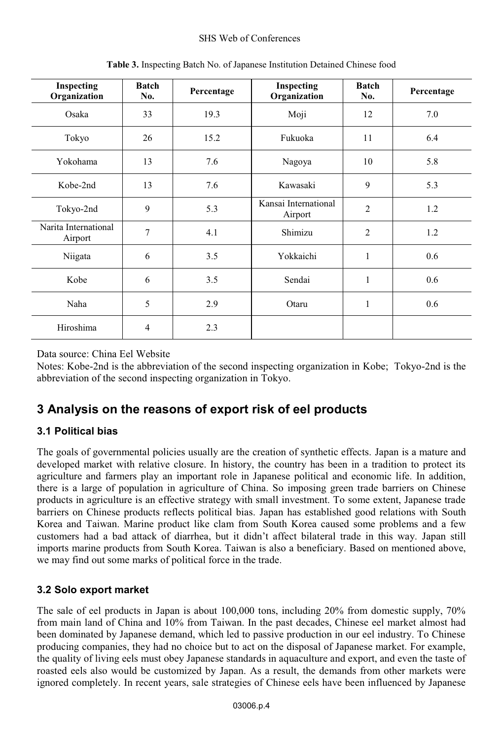#### $SHS$  Web of Conferences

| Inspecting<br>Organization      | <b>Batch</b><br>No. | Percentage | Inspecting<br>Organization      | <b>Batch</b><br>No. | Percentage |
|---------------------------------|---------------------|------------|---------------------------------|---------------------|------------|
| Osaka                           | 33                  | 19.3       | Moji                            | 12                  | 7.0        |
| Tokyo                           | 26                  | 15.2       | Fukuoka                         | 11                  | 6.4        |
| Yokohama                        | 13                  | 7.6        | Nagoya                          | 10                  | 5.8        |
| Kobe-2nd                        | 13                  | 7.6        | Kawasaki                        | 9                   | 5.3        |
| Tokyo-2nd                       | 9                   | 5.3        | Kansai International<br>Airport | $\overline{2}$      | 1.2        |
| Narita International<br>Airport | 7                   | 4.1        | Shimizu                         | $\overline{2}$      | 1.2        |
| Niigata                         | 6                   | 3.5        | Yokkaichi                       | 1                   | 0.6        |
| Kobe                            | 6                   | 3.5        | Sendai                          | $\mathbf{1}$        | 0.6        |
| Naha                            | 5                   | 2.9        | Otaru                           | $\mathbf{1}$        | 0.6        |
| Hiroshima                       | 4                   | 2.3        |                                 |                     |            |

**Table 3.** Inspecting Batch No. of Japanese Institution Detained Chinese food

Data source: China Eel Website

Notes: Kobe-2nd is the abbreviation of the second inspecting organization in Kobe; Tokyo-2nd is the abbreviation of the second inspecting organization in Tokyo.

# **3 Analysis on the reasons of export risk of eel products**

## **3.1 Political bias**

The goals of governmental policies usually are the creation of synthetic effects. Japan is a mature and developed market with relative closure. In history, the country has been in a tradition to protect its agriculture and farmers play an important role in Japanese political and economic life. In addition, there is a large of population in agriculture of China. So imposing green trade barriers on Chinese products in agriculture is an effective strategy with small investment. To some extent, Japanese trade barriers on Chinese products reflects political bias. Japan has established good relations with South Korea and Taiwan. Marine product like clam from South Korea caused some problems and a few customers had a bad attack of diarrhea, but it didn't affect bilateral trade in this way. Japan still imports marine products from South Korea. Taiwan is also a beneficiary. Based on mentioned above, we may find out some marks of political force in the trade.

## **3.2 Solo export market**

The sale of eel products in Japan is about 100,000 tons, including 20% from domestic supply, 70% from main land of China and 10% from Taiwan. In the past decades, Chinese eel market almost had been dominated by Japanese demand, which led to passive production in our eel industry. To Chinese producing companies, they had no choice but to act on the disposal of Japanese market. For example, the quality of living eels must obey Japanese standards in aquaculture and export, and even the taste of roasted eels also would be customized by Japan. As a result, the demands from other markets were ignored completely. In recent years, sale strategies of Chinese eels have been influenced by Japanese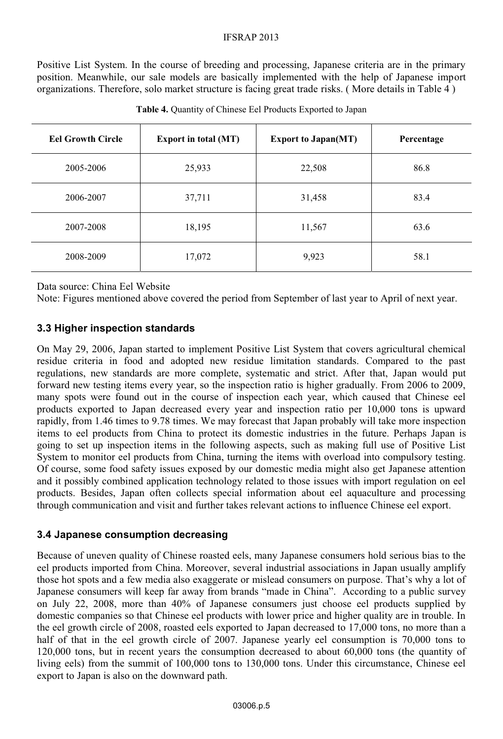#### IFSRAP 2013

Positive List System. In the course of breeding and processing, Japanese criteria are in the primary position. Meanwhile, our sale models are basically implemented with the help of Japanese import organizations. Therefore, solo market structure is facing great trade risks. ( More details in Table 4 )

| <b>Eel Growth Circle</b> | <b>Export in total (MT)</b> | <b>Export to Japan(MT)</b> | Percentage |
|--------------------------|-----------------------------|----------------------------|------------|
| 2005-2006                | 25,933                      | 22,508                     | 86.8       |
| 2006-2007                | 37,711                      | 31,458                     | 83.4       |
| 2007-2008                | 18,195                      | 11,567                     | 63.6       |
| 2008-2009                | 17,072                      | 9,923                      | 58.1       |

**Table .** Quantity of Chinese Eel Products Exported to Japan **4**

Data source: China Eel Website

Note: Figures mentioned above covered the period from September of last year to April of next year.

### **3.3 Higher inspection standards**

On May 29, 2006, Japan started to implement Positive List System that covers agricultural chemical residue criteria in food and adopted new residue limitation standards. Compared to the past regulations, new standards are more complete, systematic and strict. After that, Japan would put forward new testing items every year, so the inspection ratio is higher gradually. From 2006 to 2009, many spots were found out in the course of inspection each year, which caused that Chinese eel products exported to Japan decreased every year and inspection ratio per 10,000 tons is upward rapidly, from 1.46 times to 9.78 times. We may forecast that Japan probably will take more inspection items to eel products from China to protect its domestic industries in the future. Perhaps Japan is going to set up inspection items in the following aspects, such as making full use of Positive List System to monitor eel products from China, turning the items with overload into compulsory testing. Of course, some food safety issues exposed by our domestic media might also get Japanese attention and it possibly combined application technology related to those issues with import regulation on eel products. Besides, Japan often collects special information about eel aquaculture and processing through communication and visit and further takes relevant actions to influence Chinese eel export.

#### **3.4 Japanese consumption decreasing**

Because of uneven quality of Chinese roasted eels, many Japanese consumers hold serious bias to the eel products imported from China. Moreover, several industrial associations in Japan usually amplify those hot spots and a few media also exaggerate or mislead consumers on purpose. That's why a lot of Japanese consumers will keep far away from brands "made in China". According to a public survey on July 22, 2008, more than 40% of Japanese consumers just choose eel products supplied by domestic companies so that Chinese eel products with lower price and higher quality are in trouble. In the eel growth circle of 2008, roasted eels exported to Japan decreased to 17,000 tons, no more than a half of that in the eel growth circle of 2007. Japanese yearly eel consumption is 70,000 tons to 120,000 tons, but in recent years the consumption decreased to about 60,000 tons (the quantity of living eels) from the summit of 100,000 tons to 130,000 tons. Under this circumstance, Chinese eel export to Japan is also on the downward path.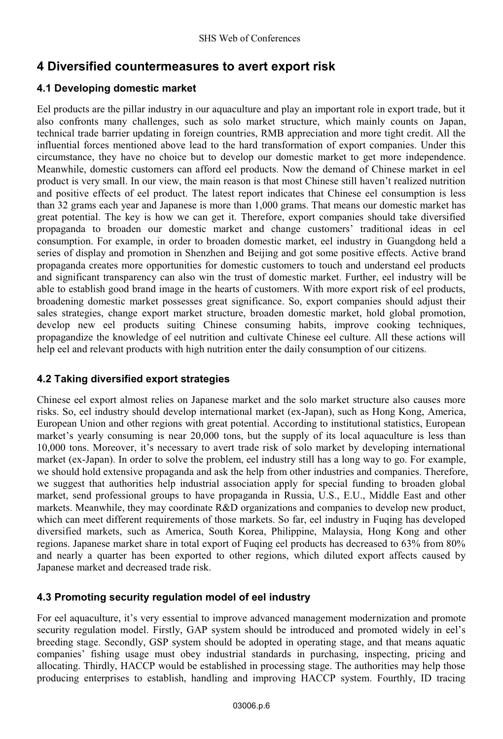# **4 Diversified countermeasures to avert export risk**

## **4.1 Developing domestic market**

Eel products are the pillar industry in our aquaculture and play an important role in export trade, but it also confronts many challenges, such as solo market structure, which mainly counts on Japan, technical trade barrier updating in foreign countries, RMB appreciation and more tight credit. All the influential forces mentioned above lead to the hard transformation of export companies. Under this circumstance, they have no choice but to develop our domestic market to get more independence. Meanwhile, domestic customers can afford eel products. Now the demand of Chinese market in eel product is very small. In our view, the main reason is that most Chinese still haven't realized nutrition and positive effects of eel product. The latest report indicates that Chinese eel consumption is less than 32 grams each year and Japanese is more than 1,000 grams. That means our domestic market has great potential. The key is how we can get it. Therefore, export companies should take diversified propaganda to broaden our domestic market and change customers' traditional ideas in eel consumption. For example, in order to broaden domestic market, eel industry in Guangdong held a series of display and promotion in Shenzhen and Beijing and got some positive effects. Active brand propaganda creates more opportunities for domestic customers to touch and understand eel products and significant transparency can also win the trust of domestic market. Further, eel industry will be able to establish good brand image in the hearts of customers. With more export risk of eel products, broadening domestic market possesses great significance. So, export companies should adjust their sales strategies, change export market structure, broaden domestic market, hold global promotion, develop new eel products suiting Chinese consuming habits, improve cooking techniques, propagandize the knowledge of eel nutrition and cultivate Chinese eel culture. All these actions will help eel and relevant products with high nutrition enter the daily consumption of our citizens.

## **4.2 Taking diversified export strategies**

Chinese eel export almost relies on Japanese market and the solo market structure also causes more risks. So, eel industry should develop international market (ex-Japan), such as Hong Kong, America, European Union and other regions with great potential. According to institutional statistics, European market's yearly consuming is near 20,000 tons, but the supply of its local aquaculture is less than 10,000 tons. Moreover, it's necessary to avert trade risk of solo market by developing international market (ex-Japan). In order to solve the problem, eel industry still has a long way to go. For example, we should hold extensive propaganda and ask the help from other industries and companies. Therefore, we suggest that authorities help industrial association apply for special funding to broaden global market, send professional groups to have propaganda in Russia, U.S., E.U., Middle East and other markets. Meanwhile, they may coordinate R&D organizations and companies to develop new product, which can meet different requirements of those markets. So far, eel industry in Fuqing has developed diversified markets, such as America, South Korea, Philippine, Malaysia, Hong Kong and other regions. Japanese market share in total export of Fuqing eel products has decreased to 63% from 80% and nearly a quarter has been exported to other regions, which diluted export affects caused by Japanese market and decreased trade risk.

## **4.3 Promoting security regulation model of eel industry**

For eel aquaculture, it's very essential to improve advanced management modernization and promote security regulation model. Firstly, GAP system should be introduced and promoted widely in eel's breeding stage. Secondly, GSP system should be adopted in operating stage, and that means aquatic companies' fishing usage must obey industrial standards in purchasing, inspecting, pricing and allocating. Thirdly, HACCP would be established in processing stage. The authorities may help those producing enterprises to establish, handling and improving HACCP system. Fourthly, ID tracing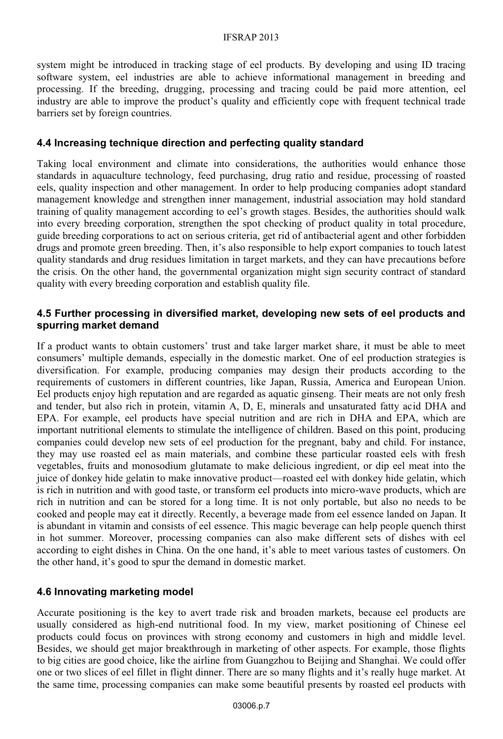system might be introduced in tracking stage of eel products. By developing and using ID tracing software system, eel industries are able to achieve informational management in breeding and processing. If the breeding, drugging, processing and tracing could be paid more attention, eel industry are able to improve the product's quality and efficiently cope with frequent technical trade barriers set by foreign countries.

### **4.4 Increasing technique direction and perfecting quality standard**

Taking local environment and climate into considerations, the authorities would enhance those standards in aquaculture technology, feed purchasing, drug ratio and residue, processing of roasted eels, quality inspection and other management. In order to help producing companies adopt standard management knowledge and strengthen inner management, industrial association may hold standard training of quality management according to eel's growth stages. Besides, the authorities should walk into every breeding corporation, strengthen the spot checking of product quality in total procedure, guide breeding corporations to act on serious criteria, get rid of antibacterial agent and other forbidden drugs and promote green breeding. Then, it's also responsible to help export companies to touch latest quality standards and drug residues limitation in target markets, and they can have precautions before the crisis. On the other hand, the governmental organization might sign security contract of standard quality with every breeding corporation and establish quality file.

### **4.5 Further processing in diversified market, developing new sets of eel products and spurring market demand**

If a product wants to obtain customers' trust and take larger market share, it must be able to meet consumers' multiple demands, especially in the domestic market. One of eel production strategies is diversification. For example, producing companies may design their products according to the requirements of customers in different countries, like Japan, Russia, America and European Union. Eel products enjoy high reputation and are regarded as aquatic ginseng. Their meats are not only fresh and tender, but also rich in protein, vitamin A, D, E, minerals and unsaturated fatty acid DHA and EPA. For example, eel products have special nutrition and are rich in DHA and EPA, which are important nutritional elements to stimulate the intelligence of children. Based on this point, producing companies could develop new sets of eel production for the pregnant, baby and child. For instance, they may use roasted eel as main materials, and combine these particular roasted eels with fresh vegetables, fruits and monosodium glutamate to make delicious ingredient, or dip eel meat into the juice of donkey hide gelatin to make innovative product—roasted eel with donkey hide gelatin, which is rich in nutrition and with good taste, or transform eel products into micro-wave products, which are rich in nutrition and can be stored for a long time. It is not only portable, but also no needs to be cooked and people may eat it directly. Recently, a beverage made from eel essence landed on Japan. It is abundant in vitamin and consists of eel essence. This magic beverage can help people quench thirst in hot summer. Moreover, processing companies can also make different sets of dishes with eel according to eight dishes in China. On the one hand, it's able to meet various tastes of customers. On the other hand, it's good to spur the demand in domestic market.

### **4.6 Innovating marketing model**

Accurate positioning is the key to avert trade risk and broaden markets, because eel products are usually considered as high-end nutritional food. In my view, market positioning of Chinese eel products could focus on provinces with strong economy and customers in high and middle level. Besides, we should get major breakthrough in marketing of other aspects. For example, those flights to big cities are good choice, like the airline from Guangzhou to Beijing and Shanghai. We could offer one or two slices of eel fillet in flight dinner. There are so many flights and it's really huge market. At the same time, processing companies can make some beautiful presents by roasted eel products with